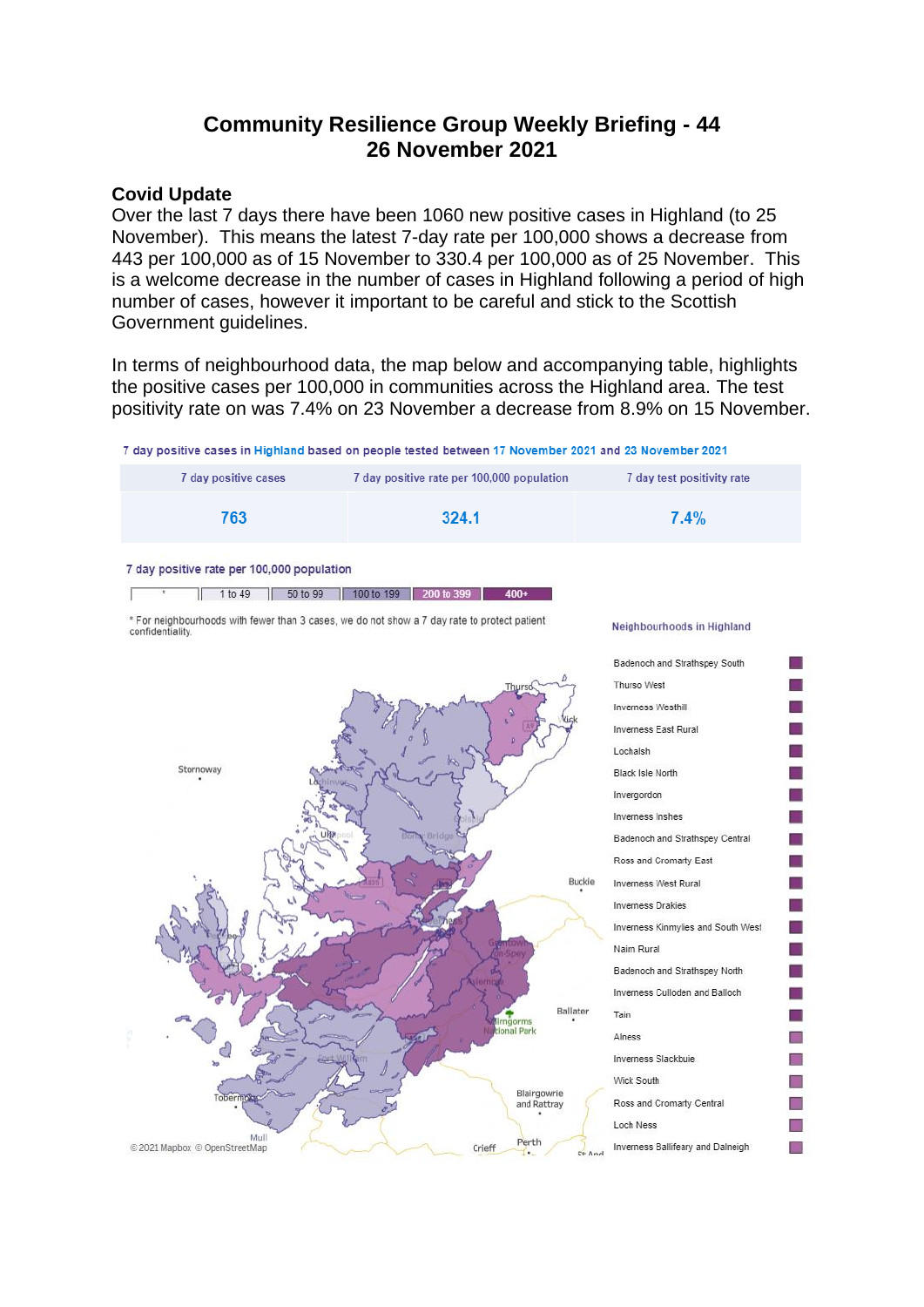# **Community Resilience Group Weekly Briefing - 44 26 November 2021**

# **Covid Update**

Over the last 7 days there have been 1060 new positive cases in Highland (to 25 November). This means the latest 7-day rate per 100,000 shows a decrease from 443 per 100,000 as of 15 November to 330.4 per 100,000 as of 25 November. This is a welcome decrease in the number of cases in Highland following a period of high number of cases, however it important to be careful and stick to the Scottish Government guidelines.

In terms of neighbourhood data, the map below and accompanying table, highlights the positive cases per 100,000 in communities across the Highland area. The test positivity rate on was 7.4% on 23 November a decrease from 8.9% on 15 November.

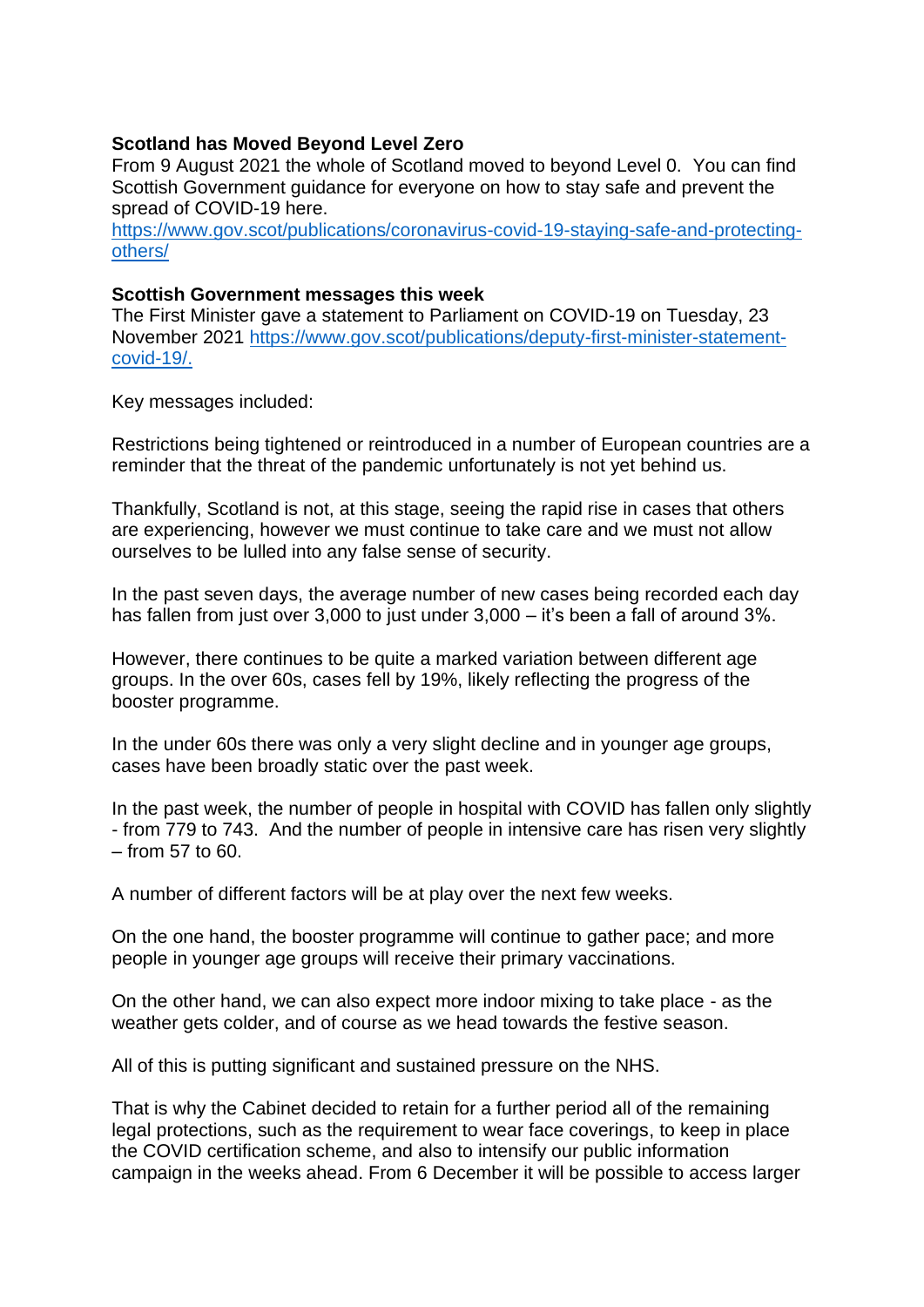#### **Scotland has Moved Beyond Level Zero**

From 9 August 2021 the whole of Scotland moved to beyond Level 0. You can find Scottish Government guidance for everyone on how to stay safe and prevent the spread of COVID-19 here.

[https://www.gov.scot/publications/coronavirus-covid-19-staying-safe-and-protecting](https://www.gov.scot/publications/coronavirus-covid-19-staying-safe-and-protecting-others/)[others/](https://www.gov.scot/publications/coronavirus-covid-19-staying-safe-and-protecting-others/)

#### **Scottish Government messages this week**

The First Minister gave a statement to Parliament on COVID-19 on Tuesday, 23 November 2021 [https://www.gov.scot/publications/deputy-first-minister-statement](https://www.gov.scot/publications/deputy-first-minister-statement-covid-19/)[covid-19/.](https://www.gov.scot/publications/deputy-first-minister-statement-covid-19/)

Key messages included:

Restrictions being tightened or reintroduced in a number of European countries are a reminder that the threat of the pandemic unfortunately is not yet behind us.

Thankfully, Scotland is not, at this stage, seeing the rapid rise in cases that others are experiencing, however we must continue to take care and we must not allow ourselves to be lulled into any false sense of security.

In the past seven days, the average number of new cases being recorded each day has fallen from just over 3,000 to just under 3,000 – it's been a fall of around 3%.

However, there continues to be quite a marked variation between different age groups. In the over 60s, cases fell by 19%, likely reflecting the progress of the booster programme.

In the under 60s there was only a very slight decline and in younger age groups, cases have been broadly static over the past week.

In the past week, the number of people in hospital with COVID has fallen only slightly - from 779 to 743. And the number of people in intensive care has risen very slightly – from 57 to 60.

A number of different factors will be at play over the next few weeks.

On the one hand, the booster programme will continue to gather pace; and more people in younger age groups will receive their primary vaccinations.

On the other hand, we can also expect more indoor mixing to take place - as the weather gets colder, and of course as we head towards the festive season.

All of this is putting significant and sustained pressure on the NHS.

That is why the Cabinet decided to retain for a further period all of the remaining legal protections, such as the requirement to wear face coverings, to keep in place the COVID certification scheme, and also to intensify our public information campaign in the weeks ahead. From 6 December it will be possible to access larger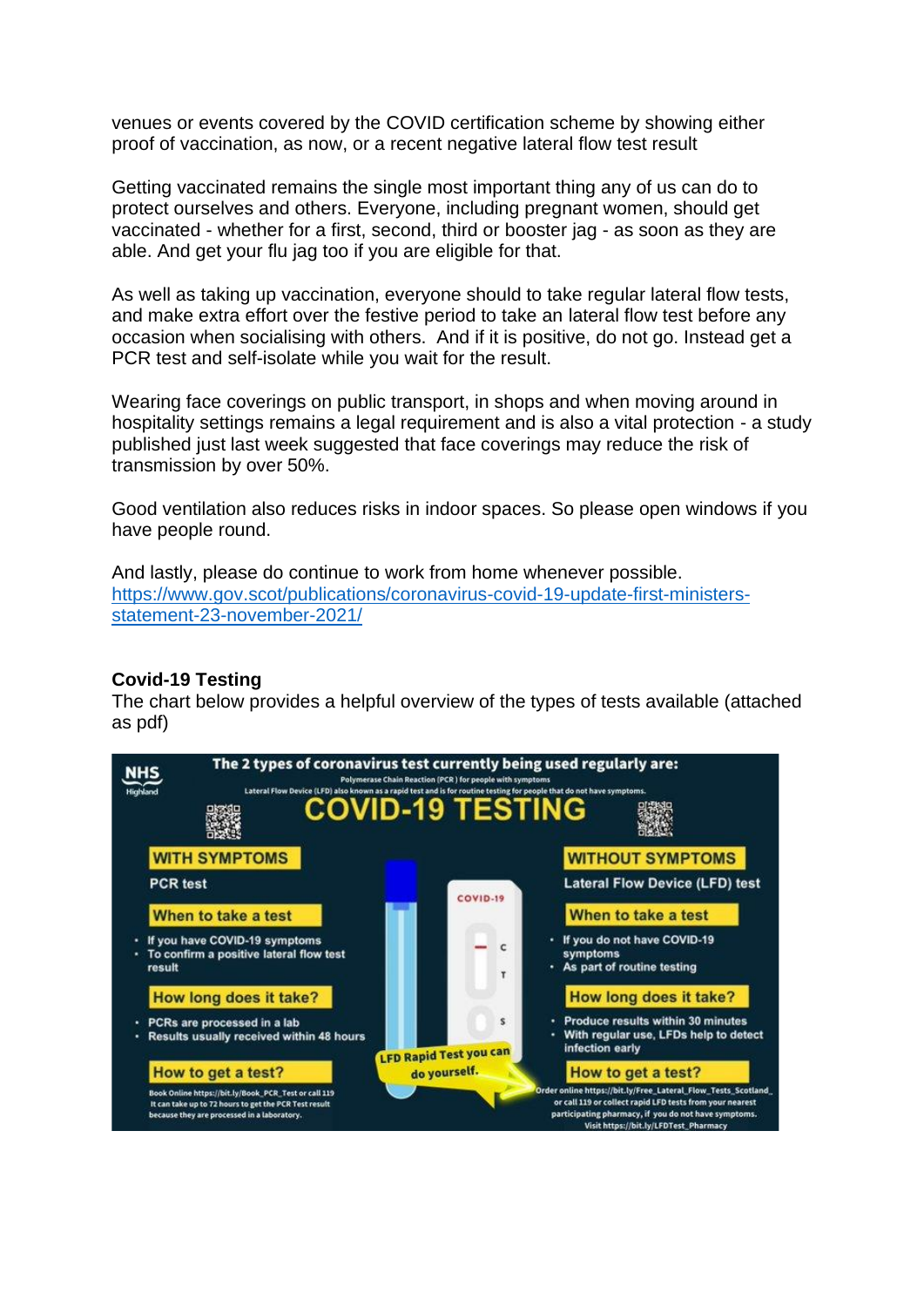venues or events covered by the COVID certification scheme by showing either proof of vaccination, as now, or a recent negative lateral flow test result

Getting vaccinated remains the single most important thing any of us can do to protect ourselves and others. Everyone, including pregnant women, should get vaccinated - whether for a first, second, third or booster jag - as soon as they are able. And get your flu jag too if you are eligible for that.

As well as taking up vaccination, everyone should to take regular lateral flow tests, and make extra effort over the festive period to take an lateral flow test before any occasion when socialising with others. And if it is positive, do not go. Instead get a PCR test and self-isolate while you wait for the result.

Wearing face coverings on public transport, in shops and when moving around in hospitality settings remains a legal requirement and is also a vital protection - a study published just last week suggested that face coverings may reduce the risk of transmission by over 50%.

Good ventilation also reduces risks in indoor spaces. So please open windows if you have people round.

And lastly, please do continue to work from home whenever possible. [https://www.gov.scot/publications/coronavirus-covid-19-update-first-ministers](https://www.gov.scot/publications/coronavirus-covid-19-update-first-ministers-statement-23-november-2021/)[statement-23-november-2021/](https://www.gov.scot/publications/coronavirus-covid-19-update-first-ministers-statement-23-november-2021/)

## **Covid-19 Testing**

The chart below provides a helpful overview of the types of tests available (attached as pdf)

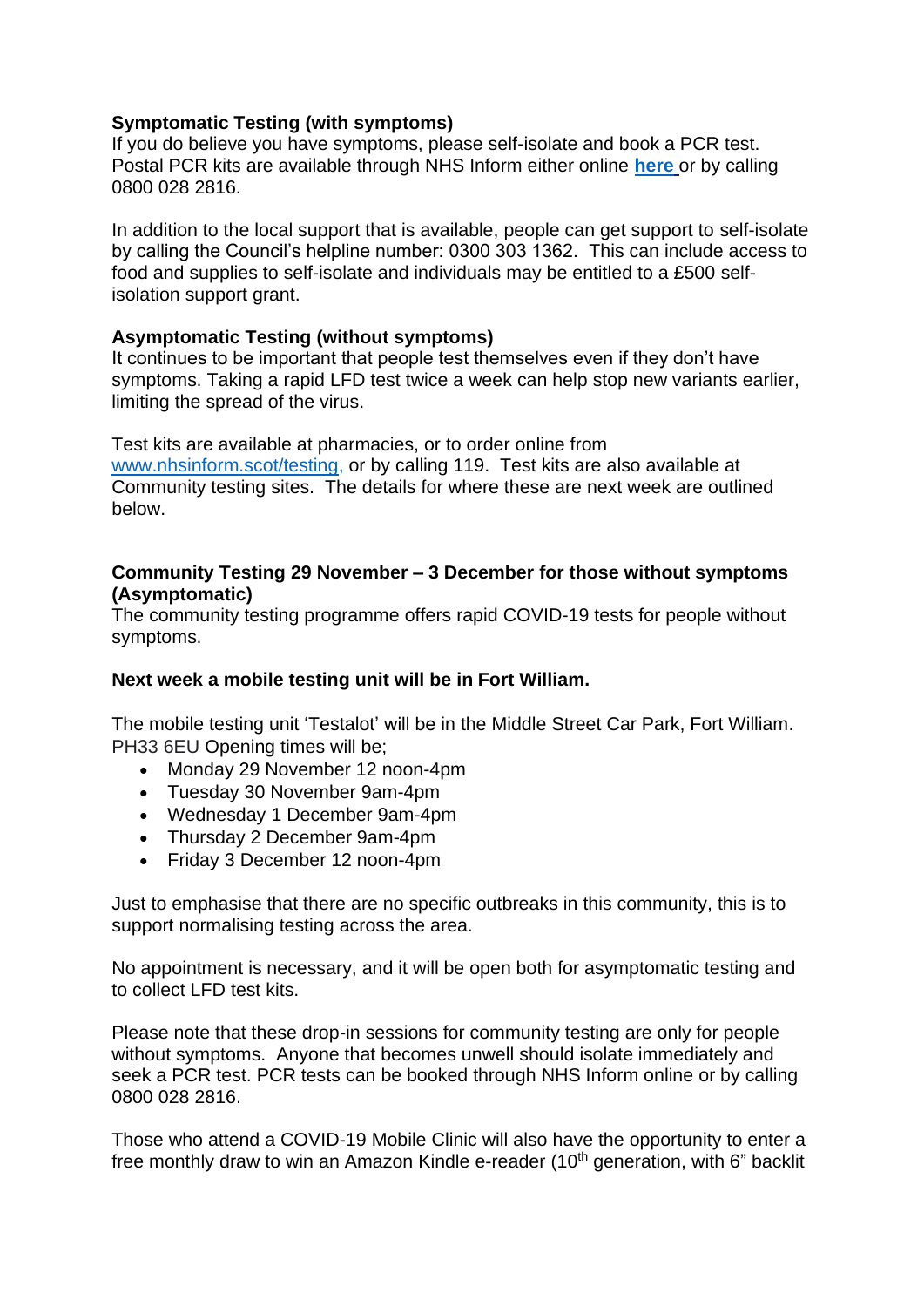# **Symptomatic Testing (with symptoms)**

If you do believe you have symptoms, please self-isolate and book a PCR test. Postal PCR kits are available through NHS Inform either online **[here](https://eur02.safelinks.protection.outlook.com/?url=https%3A%2F%2Fwww.nhsinform.scot%2Fillnesses-and-conditions%2Finfections-and-poisoning%2Fcoronavirus-covid-19%2Ftest-and-protect%2Fcoronavirus-covid-19-how-to-do-a-pcr-test-at-home&data=04%7C01%7C%7C782f2f7756ee483e42e308d94dec951d%7C89f0b56e6d164fe89dba176fa940f7c9%7C0%7C0%7C637626500816082039%7CUnknown%7CTWFpbGZsb3d8eyJWIjoiMC4wLjAwMDAiLCJQIjoiV2luMzIiLCJBTiI6Ik1haWwiLCJXVCI6Mn0%3D%7C1000&sdata=Y%2BavkxLVdZX7n9HajM7JAMRH0o5v7yj1NIhNsrPP9Tg%3D&reserved=0)** or by calling 0800 028 2816.

In addition to the local support that is available, people can get support to self-isolate by calling the Council's helpline number: 0300 303 1362. This can include access to food and supplies to self-isolate and individuals may be entitled to a £500 selfisolation support grant.

# **Asymptomatic Testing (without symptoms)**

It continues to be important that people test themselves even if they don't have symptoms. Taking a rapid LFD test twice a week can help stop new variants earlier, limiting the spread of the virus.

Test kits are available at pharmacies, or to order online from [www.nhsinform.scot/testing,](http://www.nhsinform.scot/testing) or by calling 119. Test kits are also available at Community testing sites. The details for where these are next week are outlined below.

#### **Community Testing 29 November – 3 December for those without symptoms (Asymptomatic)**

The community testing programme offers rapid COVID-19 tests for people without symptoms.

## **Next week a mobile testing unit will be in Fort William.**

The mobile testing unit 'Testalot' will be in the Middle Street Car Park, Fort William. PH33 6EU Opening times will be;

- Monday 29 November 12 noon-4pm
- Tuesday 30 November 9am-4pm
- Wednesday 1 December 9am-4pm
- Thursday 2 December 9am-4pm
- Friday 3 December 12 noon-4pm

Just to emphasise that there are no specific outbreaks in this community, this is to support normalising testing across the area.

No appointment is necessary, and it will be open both for asymptomatic testing and to collect LFD test kits.

Please note that these drop-in sessions for community testing are only for people without symptoms. Anyone that becomes unwell should isolate immediately and seek a PCR test. PCR tests can be booked through NHS Inform online or by calling 0800 028 2816.

Those who attend a COVID-19 Mobile Clinic will also have the opportunity to enter a free monthly draw to win an Amazon Kindle e-reader (10<sup>th</sup> generation, with 6" backlit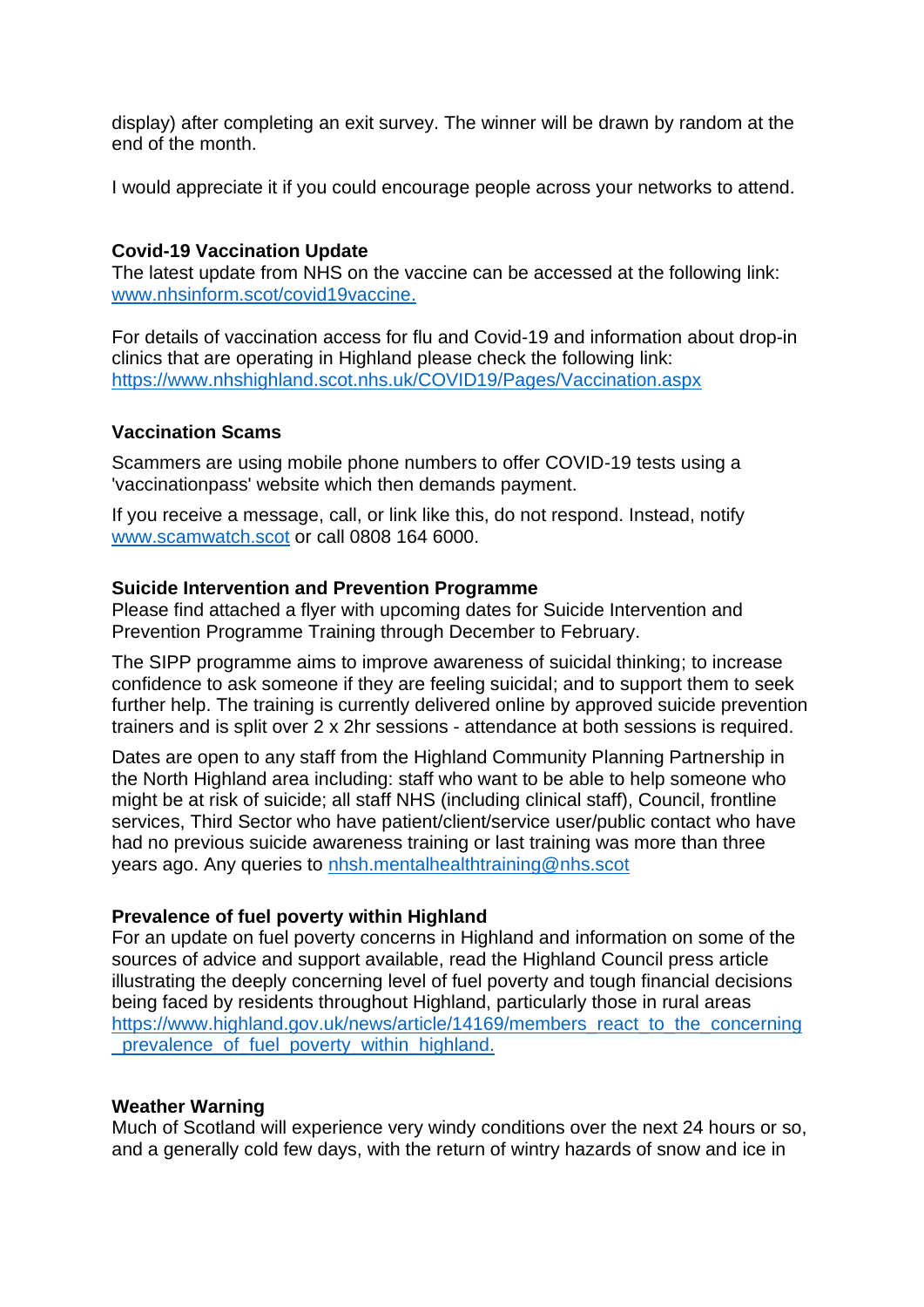display) after completing an exit survey. The winner will be drawn by random at the end of the month.

I would appreciate it if you could encourage people across your networks to attend.

# **Covid-19 Vaccination Update**

The latest update from NHS on the vaccine can be accessed at the following link: [www.nhsinform.scot/covid19vaccine.](http://www.nhsinform.scot/covid19vaccine)

For details of vaccination access for flu and Covid-19 and information about drop-in clinics that are operating in Highland please check the following link: <https://www.nhshighland.scot.nhs.uk/COVID19/Pages/Vaccination.aspx>

## **Vaccination Scams**

Scammers are using mobile phone numbers to offer COVID-19 tests using a 'vaccinationpass' website which then demands payment.

If you receive a message, call, or link like this, do not respond. Instead, notify [www.scamwatch.scot](https://l.facebook.com/l.php?u=http%3A%2F%2Fwww.scamwatch.scot%2F%3Ffbclid%3DIwAR1CaklQ6iwavFGlp5wGDowoOIQAIkVsr2aHwiu7cGzNoEY_ESeOOyTPex4&h=AT2cl3YgxOodbMWJBxy2LnYguaMttXmC99x_F1OYDn-BVq2Z_ko9mv0LaXAzaBAxVlnp-JCla3gPx5JSO_61K3DsLAcsx0a_eClEc-8WUpVcclYRGyB__0Pf1pe_1jGtPQ&__tn__=-UK-R&c%5b0%5d=AT3JSNQACBoUlAeDvOyI1FQ5CjRUKSKlbEgSC4-XFWORzzDjL7GKJqHUQkylGZ2kgiZGypec69ZGfxWQF2ywRbyopg37e9YxDn0jLUrTVKkMoLj9b_3Uyostyye8do4cQGl_OAqpIXv_FMedmyV2mbbyxHfWSu0IBLzYH6xQ5PTl0-WpCtCw) or call 0808 164 6000.

## **Suicide Intervention and Prevention Programme**

Please find attached a flyer with upcoming dates for Suicide Intervention and Prevention Programme Training through December to February.

The SIPP programme aims to improve awareness of suicidal thinking; to increase confidence to ask someone if they are feeling suicidal; and to support them to seek further help. The training is currently delivered online by approved suicide prevention trainers and is split over 2 x 2hr sessions - attendance at both sessions is required.

Dates are open to any staff from the Highland Community Planning Partnership in the North Highland area including: staff who want to be able to help someone who might be at risk of suicide; all staff NHS (including clinical staff), Council, frontline services, Third Sector who have patient/client/service user/public contact who have had no previous suicide awareness training or last training was more than three years ago. Any queries to [nhsh.mentalhealthtraining@nhs.scot](mailto:nhsh.mentalhealthtraining@nhs.scot)

## **Prevalence of fuel poverty within Highland**

For an update on fuel poverty concerns in Highland and information on some of the sources of advice and support available, read the Highland Council press article illustrating the deeply concerning level of fuel poverty and tough financial decisions being faced by residents throughout Highland, particularly those in rural areas [https://www.highland.gov.uk/news/article/14169/members\\_react\\_to\\_the\\_concerning](https://www.highland.gov.uk/news/article/14169/members_react_to_the_concerning_prevalence_of_fuel_poverty_within_highland) [\\_prevalence\\_of\\_fuel\\_poverty\\_within\\_highland.](https://www.highland.gov.uk/news/article/14169/members_react_to_the_concerning_prevalence_of_fuel_poverty_within_highland)

## **Weather Warning**

Much of Scotland will experience very windy conditions over the next 24 hours or so, and a generally cold few days, with the return of wintry hazards of snow and ice in